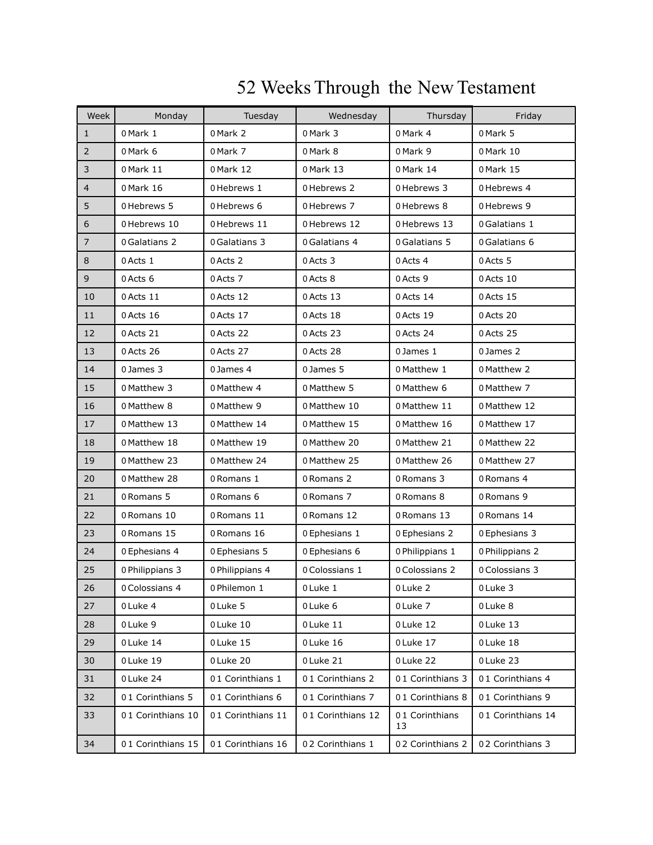| Week           | Monday            | Tuesday           | Wednesday         | Thursday             | Friday            |
|----------------|-------------------|-------------------|-------------------|----------------------|-------------------|
| $\mathbf 1$    | 0 Mark 1          | 0 Mark 2          | 0 Mark 3          | 0 Mark 4             | 0 Mark 5          |
| $\overline{2}$ | 0 Mark 6          | 0 Mark 7          | 0 Mark 8          | 0 Mark 9             | 0 Mark 10         |
| $\mathsf 3$    | 0 Mark 11         | 0 Mark 12         | 0 Mark 13         | 0 Mark 14            | 0 Mark 15         |
| $\overline{4}$ | 0 Mark 16         | 0 Hebrews 1       | 0 Hebrews 2       | 0 Hebrews 3          | 0 Hebrews 4       |
| 5              | 0 Hebrews 5       | 0 Hebrews 6       | 0 Hebrews 7       | 0 Hebrews 8          | 0 Hebrews 9       |
| 6              | 0 Hebrews 10      | 0 Hebrews 11      | 0 Hebrews 12      | 0 Hebrews 13         | 0 Galatians 1     |
| $\overline{7}$ | 0 Galatians 2     | 0 Galatians 3     | 0 Galatians 4     | 0 Galatians 5        | 0 Galatians 6     |
| $\,8\,$        | 0 Acts 1          | 0 Acts 2          | 0 Acts 3          | 0 Acts 4             | 0 Acts 5          |
| $\mathsf 9$    | 0 Acts 6          | 0 Acts 7          | 0 Acts 8          | 0 Acts 9             | 0 Acts 10         |
| 10             | 0 Acts 11         | 0 Acts 12         | 0 Acts 13         | 0 Acts 14            | 0 Acts 15         |
| 11             | 0 Acts 16         | 0 Acts 17         | 0 Acts 18         | 0 Acts 19            | 0 Acts 20         |
| 12             | 0 Acts 21         | 0 Acts 22         | 0 Acts 23         | 0 Acts 24            | 0 Acts 25         |
| 13             | 0 Acts 26         | 0 Acts 27         | 0 Acts 28         | 0 James 1            | 0 James 2         |
| 14             | 0 James 3         | 0 James 4         | 0 James 5         | 0 Matthew 1          | 0 Matthew 2       |
| 15             | 0 Matthew 3       | 0 Matthew 4       | 0 Matthew 5       | 0 Matthew 6          | 0 Matthew 7       |
| 16             | 0 Matthew 8       | 0 Matthew 9       | 0 Matthew 10      | 0 Matthew 11         | 0 Matthew 12      |
| 17             | 0 Matthew 13      | 0 Matthew 14      | 0 Matthew 15      | 0 Matthew 16         | 0 Matthew 17      |
| 18             | 0 Matthew 18      | 0 Matthew 19      | 0 Matthew 20      | 0 Matthew 21         | 0 Matthew 22      |
| 19             | 0 Matthew 23      | 0 Matthew 24      | 0 Matthew 25      | 0 Matthew 26         | 0 Matthew 27      |
| 20             | 0 Matthew 28      | 0 Romans 1        | 0 Romans 2        | 0 Romans 3           | 0 Romans 4        |
| 21             | 0 Romans 5        | 0 Romans 6        | 0 Romans 7        | 0 Romans 8           | 0 Romans 9        |
| 22             | 0 Romans 10       | 0 Romans 11       | 0 Romans 12       | 0 Romans 13          | 0 Romans 14       |
| 23             | 0 Romans 15       | 0 Romans 16       | 0 Ephesians 1     | 0 Ephesians 2        | 0 Ephesians 3     |
| 24             | 0 Ephesians 4     | 0 Ephesians 5     | 0 Ephesians 6     | 0 Philippians 1      | 0 Philippians 2   |
| 25             | 0 Philippians 3   | 0 Philippians 4   | 0 Colossians 1    | 0 Colossians 2       | 0 Colossians 3    |
| 26             | 0 Colossians 4    | 0 Philemon 1      | 0 Luke 1          | 0 Luke 2             | 0 Luke 3          |
| 27             | 0 Luke 4          | 0 Luke 5          | 0 Luke 6          | 0 Luke 7             | 0 Luke 8          |
| 28             | 0 Luke 9          | 0 Luke 10         | 0 Luke 11         | 0 Luke 12            | 0 Luke 13         |
| 29             | 0 Luke 14         | 0 Luke 15         | 0 Luke 16         | 0 Luke 17            | 0 Luke 18         |
| 30             | 0 Luke 19         | 0 Luke 20         | 0 Luke 21         | 0 Luke 22            | 0 Luke 23         |
| 31             | 0 Luke 24         | 01 Corinthians 1  | 01 Corinthians 2  | 01 Corinthians 3     | 01 Corinthians 4  |
| 32             | 01 Corinthians 5  | 01 Corinthians 6  | 01 Corinthians 7  | 01 Corinthians 8     | 01 Corinthians 9  |
| 33             | 01 Corinthians 10 | 01 Corinthians 11 | 01 Corinthians 12 | 01 Corinthians<br>13 | 01 Corinthians 14 |
| 34             | 01 Corinthians 15 | 01 Corinthians 16 | 02 Corinthians 1  | 02 Corinthians 2     | 02 Corinthians 3  |

## WeeksThrough the New Testament